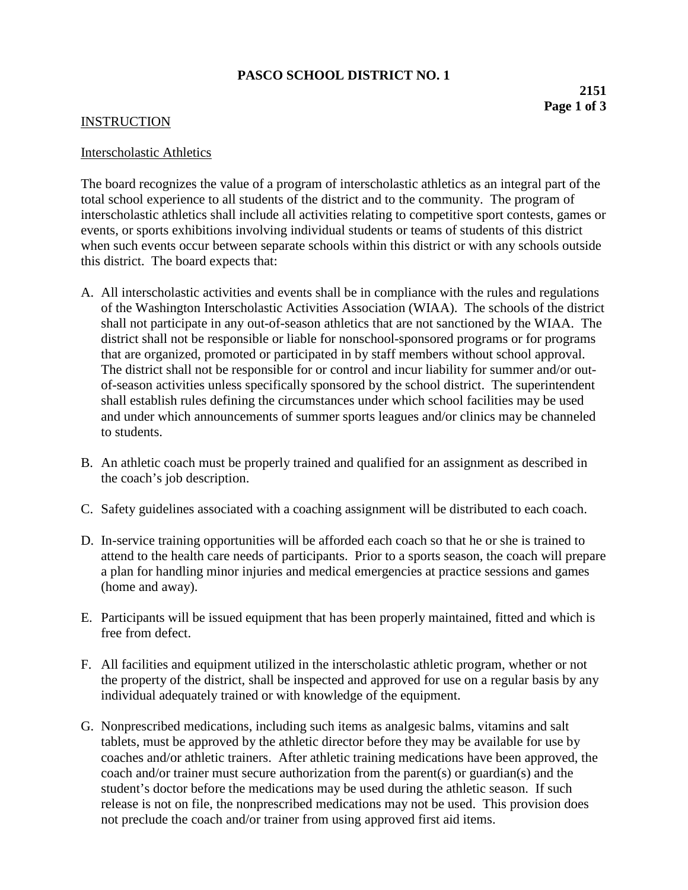## **PASCO SCHOOL DISTRICT NO. 1**

## **INSTRUCTION**

## Interscholastic Athletics

The board recognizes the value of a program of interscholastic athletics as an integral part of the total school experience to all students of the district and to the community. The program of interscholastic athletics shall include all activities relating to competitive sport contests, games or events, or sports exhibitions involving individual students or teams of students of this district when such events occur between separate schools within this district or with any schools outside this district. The board expects that:

- A. All interscholastic activities and events shall be in compliance with the rules and regulations of the Washington Interscholastic Activities Association (WIAA). The schools of the district shall not participate in any out-of-season athletics that are not sanctioned by the WIAA. The district shall not be responsible or liable for nonschool-sponsored programs or for programs that are organized, promoted or participated in by staff members without school approval. The district shall not be responsible for or control and incur liability for summer and/or outof-season activities unless specifically sponsored by the school district. The superintendent shall establish rules defining the circumstances under which school facilities may be used and under which announcements of summer sports leagues and/or clinics may be channeled to students.
- B. An athletic coach must be properly trained and qualified for an assignment as described in the coach's job description.
- C. Safety guidelines associated with a coaching assignment will be distributed to each coach.
- D. In-service training opportunities will be afforded each coach so that he or she is trained to attend to the health care needs of participants. Prior to a sports season, the coach will prepare a plan for handling minor injuries and medical emergencies at practice sessions and games (home and away).
- E. Participants will be issued equipment that has been properly maintained, fitted and which is free from defect.
- F. All facilities and equipment utilized in the interscholastic athletic program, whether or not the property of the district, shall be inspected and approved for use on a regular basis by any individual adequately trained or with knowledge of the equipment.
- G. Nonprescribed medications, including such items as analgesic balms, vitamins and salt tablets, must be approved by the athletic director before they may be available for use by coaches and/or athletic trainers. After athletic training medications have been approved, the coach and/or trainer must secure authorization from the parent(s) or guardian(s) and the student's doctor before the medications may be used during the athletic season. If such release is not on file, the nonprescribed medications may not be used. This provision does not preclude the coach and/or trainer from using approved first aid items.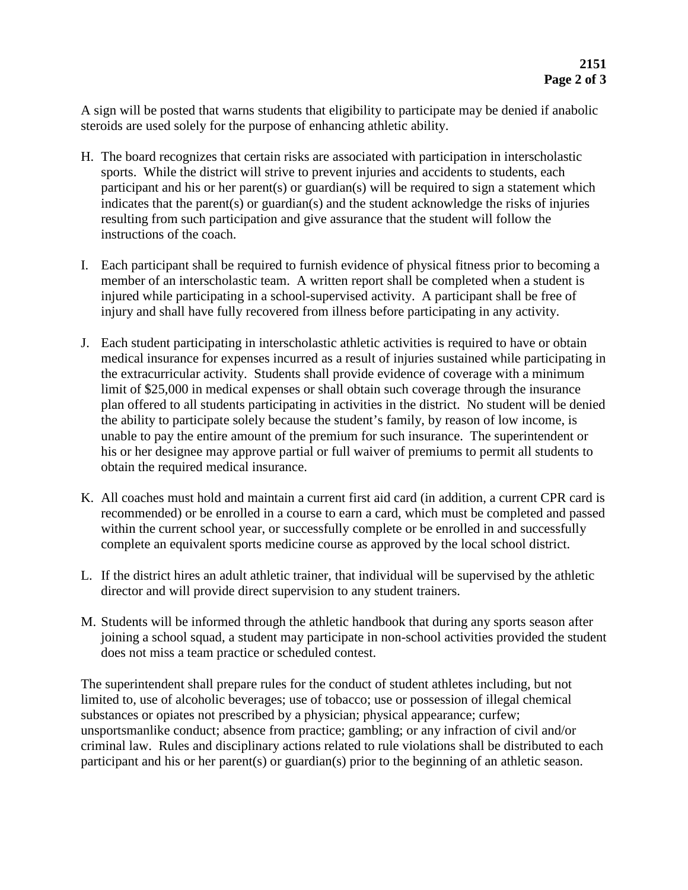A sign will be posted that warns students that eligibility to participate may be denied if anabolic steroids are used solely for the purpose of enhancing athletic ability.

- H. The board recognizes that certain risks are associated with participation in interscholastic sports. While the district will strive to prevent injuries and accidents to students, each participant and his or her parent(s) or guardian(s) will be required to sign a statement which indicates that the parent(s) or guardian(s) and the student acknowledge the risks of injuries resulting from such participation and give assurance that the student will follow the instructions of the coach.
- I. Each participant shall be required to furnish evidence of physical fitness prior to becoming a member of an interscholastic team. A written report shall be completed when a student is injured while participating in a school-supervised activity. A participant shall be free of injury and shall have fully recovered from illness before participating in any activity.
- J. Each student participating in interscholastic athletic activities is required to have or obtain medical insurance for expenses incurred as a result of injuries sustained while participating in the extracurricular activity. Students shall provide evidence of coverage with a minimum limit of \$25,000 in medical expenses or shall obtain such coverage through the insurance plan offered to all students participating in activities in the district. No student will be denied the ability to participate solely because the student's family, by reason of low income, is unable to pay the entire amount of the premium for such insurance. The superintendent or his or her designee may approve partial or full waiver of premiums to permit all students to obtain the required medical insurance.
- K. All coaches must hold and maintain a current first aid card (in addition, a current CPR card is recommended) or be enrolled in a course to earn a card, which must be completed and passed within the current school year, or successfully complete or be enrolled in and successfully complete an equivalent sports medicine course as approved by the local school district.
- L. If the district hires an adult athletic trainer, that individual will be supervised by the athletic director and will provide direct supervision to any student trainers.
- M. Students will be informed through the athletic handbook that during any sports season after joining a school squad, a student may participate in non-school activities provided the student does not miss a team practice or scheduled contest.

The superintendent shall prepare rules for the conduct of student athletes including, but not limited to, use of alcoholic beverages; use of tobacco; use or possession of illegal chemical substances or opiates not prescribed by a physician; physical appearance; curfew; unsportsmanlike conduct; absence from practice; gambling; or any infraction of civil and/or criminal law. Rules and disciplinary actions related to rule violations shall be distributed to each participant and his or her parent(s) or guardian(s) prior to the beginning of an athletic season.